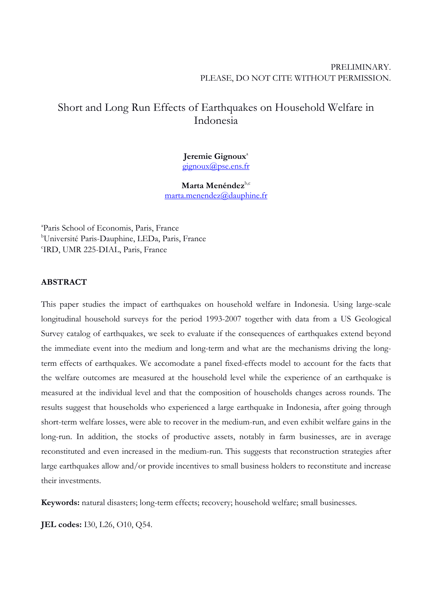# PRELIMINARY. PLEASE, DO NOT CITE WITHOUT PERMISSION.

# Short and Long Run Effects of Earthquakes on Household Welfare in Indonesia

# Jeremie Gignoux<sup>a</sup> gignoux@pse.ens.fr

Marta Menéndez<sup>b,c</sup> marta.menendez@dauphine.fr

<sup>a</sup>Paris School of Economis, Paris, France <sup>b</sup>Université Paris-Dauphine, LEDa, Paris, France c IRD, UMR 225-DIAL, Paris, France

# **ABSTRACT**

This paper studies the impact of earthquakes on household welfare in Indonesia. Using large-scale longitudinal household surveys for the period 1993-2007 together with data from a US Geological Survey catalog of earthquakes, we seek to evaluate if the consequences of earthquakes extend beyond the immediate event into the medium and long-term and what are the mechanisms driving the longterm effects of earthquakes. We accomodate a panel fixed-effects model to account for the facts that the welfare outcomes are measured at the household level while the experience of an earthquake is measured at the individual level and that the composition of households changes across rounds. The results suggest that households who experienced a large earthquake in Indonesia, after going through short-term welfare losses, were able to recover in the medium-run, and even exhibit welfare gains in the long-run. In addition, the stocks of productive assets, notably in farm businesses, are in average reconstituted and even increased in the medium-run. This suggests that reconstruction strategies after large earthquakes allow and/or provide incentives to small business holders to reconstitute and increase their investments.

**Keywords:** natural disasters; long-term effects; recovery; household welfare; small businesses.

**JEL codes:** I30, L26, O10, Q54.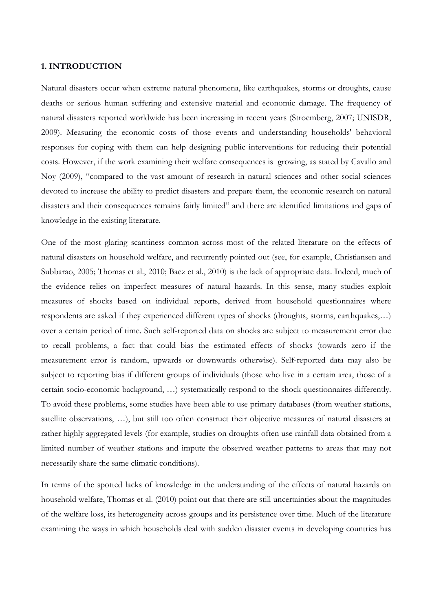# **1. INTRODUCTION**

Natural disasters occur when extreme natural phenomena, like earthquakes, storms or droughts, cause deaths or serious human suffering and extensive material and economic damage. The frequency of natural disasters reported worldwide has been increasing in recent years (Stroemberg, 2007; UNISDR, 2009). Measuring the economic costs of those events and understanding households' behavioral responses for coping with them can help designing public interventions for reducing their potential costs. However, if the work examining their welfare consequences is growing, as stated by Cavallo and Noy (2009), "compared to the vast amount of research in natural sciences and other social sciences devoted to increase the ability to predict disasters and prepare them, the economic research on natural disasters and their consequences remains fairly limited" and there are identified limitations and gaps of knowledge in the existing literature.

One of the most glaring scantiness common across most of the related literature on the effects of natural disasters on household welfare, and recurrently pointed out (see, for example, Christiansen and Subbarao, 2005; Thomas et al., 2010; Baez et al., 2010) is the lack of appropriate data. Indeed, much of the evidence relies on imperfect measures of natural hazards. In this sense, many studies exploit measures of shocks based on individual reports, derived from household questionnaires where respondents are asked if they experienced different types of shocks (droughts, storms, earthquakes,…) over a certain period of time. Such self-reported data on shocks are subject to measurement error due to recall problems, a fact that could bias the estimated effects of shocks (towards zero if the measurement error is random, upwards or downwards otherwise). Self-reported data may also be subject to reporting bias if different groups of individuals (those who live in a certain area, those of a certain socio-economic background, …) systematically respond to the shock questionnaires differently. To avoid these problems, some studies have been able to use primary databases (from weather stations, satellite observations, …), but still too often construct their objective measures of natural disasters at rather highly aggregated levels (for example, studies on droughts often use rainfall data obtained from a limited number of weather stations and impute the observed weather patterns to areas that may not necessarily share the same climatic conditions).

In terms of the spotted lacks of knowledge in the understanding of the effects of natural hazards on household welfare, Thomas et al. (2010) point out that there are still uncertainties about the magnitudes of the welfare loss, its heterogeneity across groups and its persistence over time. Much of the literature examining the ways in which households deal with sudden disaster events in developing countries has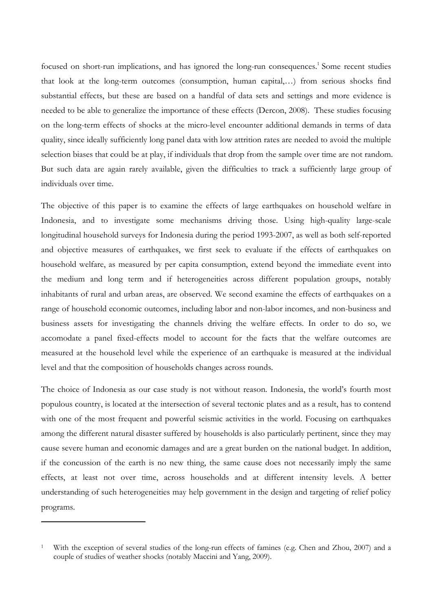focused on short-run implications, and has ignored the long-run consequences.<sup>1</sup> Some recent studies that look at the long-term outcomes (consumption, human capital,…) from serious shocks find substantial effects, but these are based on a handful of data sets and settings and more evidence is needed to be able to generalize the importance of these effects (Dercon, 2008). These studies focusing on the long-term effects of shocks at the micro-level encounter additional demands in terms of data quality, since ideally sufficiently long panel data with low attrition rates are needed to avoid the multiple selection biases that could be at play, if individuals that drop from the sample over time are not random. But such data are again rarely available, given the difficulties to track a sufficiently large group of individuals over time.

The objective of this paper is to examine the effects of large earthquakes on household welfare in Indonesia, and to investigate some mechanisms driving those. Using high-quality large-scale longitudinal household surveys for Indonesia during the period 1993-2007, as well as both self-reported and objective measures of earthquakes, we first seek to evaluate if the effects of earthquakes on household welfare, as measured by per capita consumption, extend beyond the immediate event into the medium and long term and if heterogeneities across different population groups, notably inhabitants of rural and urban areas, are observed. We second examine the effects of earthquakes on a range of household economic outcomes, including labor and non-labor incomes, and non-business and business assets for investigating the channels driving the welfare effects. In order to do so, we accomodate a panel fixed-effects model to account for the facts that the welfare outcomes are measured at the household level while the experience of an earthquake is measured at the individual level and that the composition of households changes across rounds.

The choice of Indonesia as our case study is not without reason. Indonesia, the world's fourth most populous country, is located at the intersection of several tectonic plates and as a result, has to contend with one of the most frequent and powerful seismic activities in the world. Focusing on earthquakes among the different natural disaster suffered by households is also particularly pertinent, since they may cause severe human and economic damages and are a great burden on the national budget. In addition, if the concussion of the earth is no new thing, the same cause does not necessarily imply the same effects, at least not over time, across households and at different intensity levels. A better understanding of such heterogeneities may help government in the design and targeting of relief policy programs.

 $\overline{a}$ 

<sup>1</sup>With the exception of several studies of the long-run effects of famines (e.g. Chen and Zhou, 2007) and a couple of studies of weather shocks (notably Maccini and Yang, 2009).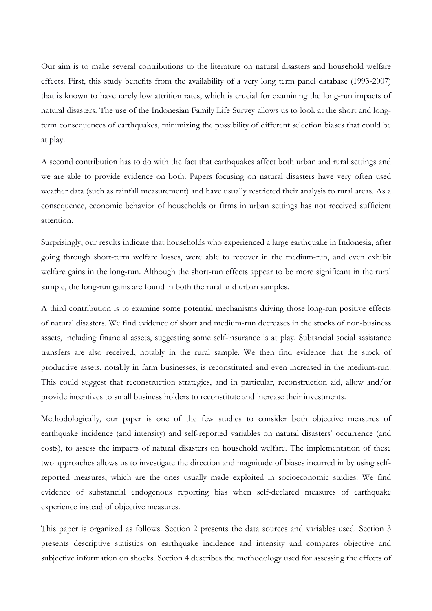Our aim is to make several contributions to the literature on natural disasters and household welfare effects. First, this study benefits from the availability of a very long term panel database (1993-2007) that is known to have rarely low attrition rates, which is crucial for examining the long-run impacts of natural disasters. The use of the Indonesian Family Life Survey allows us to look at the short and longterm consequences of earthquakes, minimizing the possibility of different selection biases that could be at play.

A second contribution has to do with the fact that earthquakes affect both urban and rural settings and we are able to provide evidence on both. Papers focusing on natural disasters have very often used weather data (such as rainfall measurement) and have usually restricted their analysis to rural areas. As a consequence, economic behavior of households or firms in urban settings has not received sufficient attention.

Surprisingly, our results indicate that households who experienced a large earthquake in Indonesia, after going through short-term welfare losses, were able to recover in the medium-run, and even exhibit welfare gains in the long-run. Although the short-run effects appear to be more significant in the rural sample, the long-run gains are found in both the rural and urban samples.

A third contribution is to examine some potential mechanisms driving those long-run positive effects of natural disasters. We find evidence of short and medium-run decreases in the stocks of non-business assets, including financial assets, suggesting some self-insurance is at play. Subtancial social assistance transfers are also received, notably in the rural sample. We then find evidence that the stock of productive assets, notably in farm businesses, is reconstituted and even increased in the medium-run. This could suggest that reconstruction strategies, and in particular, reconstruction aid, allow and/or provide incentives to small business holders to reconstitute and increase their investments.

Methodologically, our paper is one of the few studies to consider both objective measures of earthquake incidence (and intensity) and self-reported variables on natural disasters' occurrence (and costs), to assess the impacts of natural disasters on household welfare. The implementation of these two approaches allows us to investigate the direction and magnitude of biases incurred in by using selfreported measures, which are the ones usually made exploited in socioeconomic studies. We find evidence of substancial endogenous reporting bias when self-declared measures of earthquake experience instead of objective measures.

This paper is organized as follows. Section 2 presents the data sources and variables used. Section 3 presents descriptive statistics on earthquake incidence and intensity and compares objective and subjective information on shocks. Section 4 describes the methodology used for assessing the effects of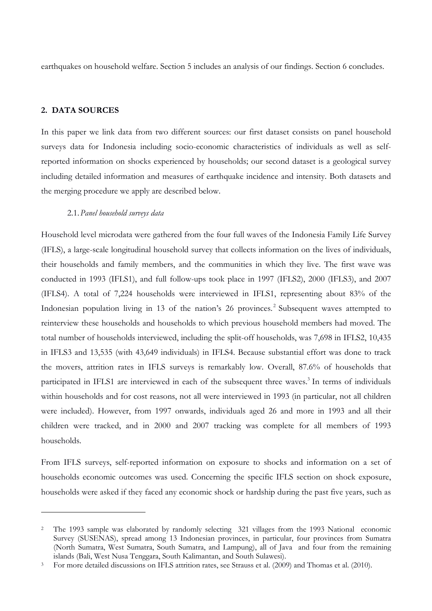earthquakes on household welfare. Section 5 includes an analysis of our findings. Section 6 concludes.

## **2. DATA SOURCES**

l

In this paper we link data from two different sources: our first dataset consists on panel household surveys data for Indonesia including socio-economic characteristics of individuals as well as selfreported information on shocks experienced by households; our second dataset is a geological survey including detailed information and measures of earthquake incidence and intensity. Both datasets and the merging procedure we apply are described below.

## 2.1.*Panel household surveys data*

Household level microdata were gathered from the four full waves of the Indonesia Family Life Survey (IFLS), a large-scale longitudinal household survey that collects information on the lives of individuals, their households and family members, and the communities in which they live. The first wave was conducted in 1993 (IFLS1), and full follow-ups took place in 1997 (IFLS2), 2000 (IFLS3), and 2007 (IFLS4). A total of 7,224 households were interviewed in IFLS1, representing about 83% of the Indonesian population living in 13 of the nation's 26 provinces.<sup>2</sup> Subsequent waves attempted to reinterview these households and households to which previous household members had moved. The total number of households interviewed, including the split-off households, was 7,698 in IFLS2, 10,435 in IFLS3 and 13,535 (with 43,649 individuals) in IFLS4. Because substantial effort was done to track the movers, attrition rates in IFLS surveys is remarkably low. Overall, 87.6% of households that participated in IFLS1 are interviewed in each of the subsequent three waves.<sup>3</sup> In terms of individuals within households and for cost reasons, not all were interviewed in 1993 (in particular, not all children were included). However, from 1997 onwards, individuals aged 26 and more in 1993 and all their children were tracked, and in 2000 and 2007 tracking was complete for all members of 1993 households.

From IFLS surveys, self-reported information on exposure to shocks and information on a set of households economic outcomes was used. Concerning the specific IFLS section on shock exposure, households were asked if they faced any economic shock or hardship during the past five years, such as

<sup>&</sup>lt;sup>2</sup> The 1993 sample was elaborated by randomly selecting 321 villages from the 1993 National economic Survey (SUSENAS), spread among 13 Indonesian provinces, in particular, four provinces from Sumatra (North Sumatra, West Sumatra, South Sumatra, and Lampung), all of Java and four from the remaining islands (Bali, West Nusa Tenggara, South Kalimantan, and South Sulawesi).

<sup>3</sup> For more detailed discussions on IFLS attrition rates, see Strauss et al. (2009) and Thomas et al. (2010).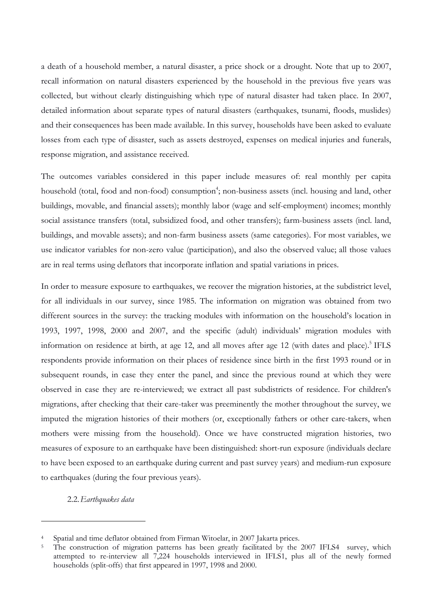a death of a household member, a natural disaster, a price shock or a drought. Note that up to 2007, recall information on natural disasters experienced by the household in the previous five years was collected, but without clearly distinguishing which type of natural disaster had taken place. In 2007, detailed information about separate types of natural disasters (earthquakes, tsunami, floods, muslides) and their consequences has been made available. In this survey, households have been asked to evaluate losses from each type of disaster, such as assets destroyed, expenses on medical injuries and funerals, response migration, and assistance received.

The outcomes variables considered in this paper include measures of: real monthly per capita household (total, food and non-food) consumption<sup>4</sup>; non-business assets (incl. housing and land, other buildings, movable, and financial assets); monthly labor (wage and self-employment) incomes; monthly social assistance transfers (total, subsidized food, and other transfers); farm-business assets (incl. land, buildings, and movable assets); and non-farm business assets (same categories). For most variables, we use indicator variables for non-zero value (participation), and also the observed value; all those values are in real terms using deflators that incorporate inflation and spatial variations in prices.

In order to measure exposure to earthquakes, we recover the migration histories, at the subdistrict level, for all individuals in our survey, since 1985. The information on migration was obtained from two different sources in the survey: the tracking modules with information on the household's location in 1993, 1997, 1998, 2000 and 2007, and the specific (adult) individuals' migration modules with information on residence at birth, at age 12, and all moves after age 12 (with dates and place).<sup>5</sup> IFLS respondents provide information on their places of residence since birth in the first 1993 round or in subsequent rounds, in case they enter the panel, and since the previous round at which they were observed in case they are re-interviewed; we extract all past subdistricts of residence. For children's migrations, after checking that their care-taker was preeminently the mother throughout the survey, we imputed the migration histories of their mothers (or, exceptionally fathers or other care-takers, when mothers were missing from the household). Once we have constructed migration histories, two measures of exposure to an earthquake have been distinguished: short-run exposure (individuals declare to have been exposed to an earthquake during current and past survey years) and medium-run exposure to earthquakes (during the four previous years).

# 2.2.*Earthquakes data*

l

Spatial and time deflator obtained from Firman Witoelar, in 2007 Jakarta prices.

<sup>&</sup>lt;sup>5</sup> The construction of migration patterns has been greatly facilitated by the 2007 IFLS4 survey, which attempted to re-interview all 7,224 households interviewed in IFLS1, plus all of the newly formed households (split-offs) that first appeared in 1997, 1998 and 2000.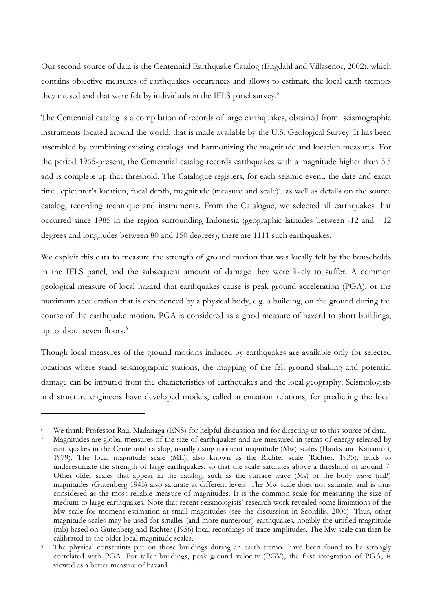Our second source of data is the Centennial Earthquake Catalog (Engdahl and Villaseñor, 2002), which contains objective measures of earthquakes occurences and allows to estimate the local earth tremors they caused and that were felt by individuals in the IFLS panel survey.<sup>6</sup>

The Centennial catalog is a compilation of records of large earthquakes, obtained from seismographic instruments located around the world, that is made available by the U.S. Geological Survey. It has been assembled by combining existing catalogs and harmonizing the magnitude and location measures. For the period 1965-present, the Centennial catalog records earthquakes with a magnitude higher than 5.5 and is complete up that threshold. The Catalogue registers, for each seismic event, the date and exact time, epicenter's location, focal depth, magnitude (measure and scale)<sup>7</sup>, as well as details on the source catalog, recording technique and instruments. From the Catalogue, we selected all earthquakes that occurred since 1985 in the region surrounding Indonesia (geographic latitudes between -12 and +12 degrees and longitudes between 80 and 150 degrees); there are 1111 such earthquakes.

We exploit this data to measure the strength of ground motion that was locally felt by the households in the IFLS panel, and the subsequent amount of damage they were likely to suffer. A common geological measure of local hazard that earthquakes cause is peak ground acceleration (PGA), or the maximum acceleration that is experienced by a physical body, e.g. a building, on the ground during the course of the earthquake motion. PGA is considered as a good measure of hazard to short buildings, up to about seven floors. $8$ 

Though local measures of the ground motions induced by earthquakes are available only for selected locations where stand seismographic stations, the mapping of the felt ground shaking and potential damage can be imputed from the characteristics of earthquakes and the local geography. Seismologists and structure engineers have developed models, called attenuation relations, for predicting the local

 $\overline{a}$ 

<sup>6</sup>We thank Professor Raul Madariaga (ENS) for helpful discussion and for directing us to this source of data.

<sup>7</sup>Magnitudes are global measures of the size of earthquakes and are measured in terms of energy released by earthquakes in the Centennial catalog, usually using moment magnitude (Mw) scales (Hanks and Kanamori, 1979). The local magnitude scale (ML), also known as the Richter scale (Richter, 1935), tends to underestimate the strength of large earthquakes, so that the scale saturates above a threshold of around 7. Other older scales that appear in the catalog, such as the surface wave (Ms) or the body wave (mB) magnitudes (Gutenberg 1945) also saturate at different levels. The Mw scale does not saturate, and is thus considered as the most reliable measure of magnitudes. It is the common scale for measuring the size of medium to large earthquakes. Note that recent seismologists' research work revealed some limitations of the Mw scale for moment estimation at small magnitudes (see the discussion in Scordilis, 2006). Thus, other magnitude scales may be used for smaller (and more numerous) earthquakes, notably the unified magnitude (mb) based on Gutenberg and Richter (1956) local recordings of trace amplitudes. The Mw scale can then be calibrated to the older local magnitude scales.

<sup>&</sup>lt;sup>8</sup> The physical constraints put on those buildings during an earth tremor have been found to be strongly correlated with PGA. For taller buildings, peak ground velocity (PGV), the first integration of PGA, is viewed as a better measure of hazard.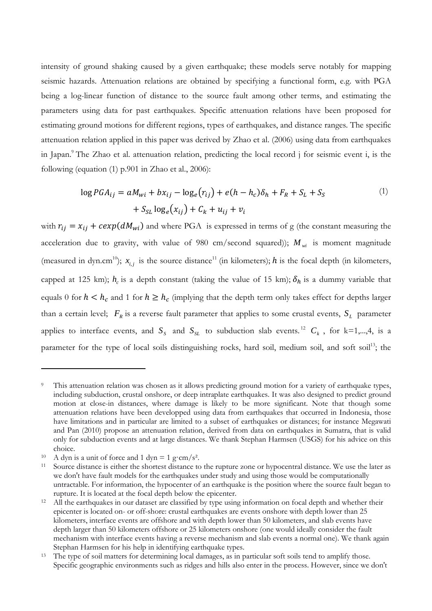intensity of ground shaking caused by a given earthquake; these models serve notably for mapping seismic hazards. Attenuation relations are obtained by specifying a functional form, e.g. with PGA being a log-linear function of distance to the source fault among other terms, and estimating the parameters using data for past earthquakes. Specific attenuation relations have been proposed for estimating ground motions for different regions, types of earthquakes, and distance ranges. The specific attenuation relation applied in this paper was derived by Zhao et al. (2006) using data from earthquakes in Japan.<sup>9</sup> The Zhao et al. attenuation relation, predicting the local record j for seismic event i, is the following (equation (1) p.901 in Zhao et al., 2006):

$$
\log PGA_{ij} = aM_{wi} + bx_{ij} - \log_e(r_{ij}) + e(h - h_c)\delta_h + F_R + S_L + S_S
$$
  
+  $S_{SL} \log_e(x_{ij}) + C_k + u_{ij} + v_i$  (1)

with  $r_{ij} = x_{ij} + c exp(dM_{wi})$  and where PGA is expressed in terms of g (the constant measuring the acceleration due to gravity, with value of 980 cm/second squared));  $M_{wi}$  is moment magnitude (measured in dyn.cm<sup>10</sup>);  $x_{i,j}$  is the source distance<sup>11</sup> (in kilometers); h is the focal depth (in kilometers, capped at 125 km);  $h_c$  is a depth constant (taking the value of 15 km);  $\delta_h$  is a dummy variable that equals 0 for  $h < h_c$  and 1 for  $h \ge h_c$  (implying that the depth term only takes effect for depths larger than a certain level;  $F_R$  is a reverse fault parameter that applies to some crustal events,  $S_L$  parameter applies to interface events, and  $S_s$  and  $S_{sL}$  to subduction slab events.<sup>12</sup>  $C_k$ , for k=1,...,4, is a parameter for the type of local soils distinguishing rocks, hard soil, medium soil, and soft soil<sup>13</sup>; the

 $\overline{a}$ 

This attenuation relation was chosen as it allows predicting ground motion for a variety of earthquake types, including subduction, crustal onshore, or deep intraplate earthquakes. It was also designed to predict ground motion at close-in distances, where damage is likely to be more significant. Note that though some attenuation relations have been developped using data from earthquakes that occurred in Indonesia, those have limitations and in particular are limited to a subset of earthquakes or distances; for instance Megawati and Pan (2010) propose an attenuation relation, derived from data on earthquakes in Sumatra, that is valid only for subduction events and at large distances. We thank Stephan Harmsen (USGS) for his advice on this choice.

<sup>&</sup>lt;sup>10</sup> A dyn is a unit of force and 1 dyn = 1 g·cm/s<sup>2</sup>.

<sup>&</sup>lt;sup>11</sup> Source distance is either the shortest distance to the rupture zone or hypocentral distance. We use the later as we don't have fault models for the earthquakes under study and using those would be computationally untractable. For information, the hypocenter of an earthquake is the position where the source fault began to rupture. It is located at the focal depth below the epicenter.

<sup>&</sup>lt;sup>12</sup> All the earthquakes in our dataset are classified by type using information on focal depth and whether their epicenter is located on- or off-shore: crustal earthquakes are events onshore with depth lower than 25 kilometers, interface events are offshore and with depth lower than 50 kilometers, and slab events have depth larger than 50 kilometers offshore or 25 kilometers onshore (one would ideally consider the fault mechanism with interface events having a reverse mechanism and slab events a normal one). We thank again Stephan Harmsen for his help in identifying earthquake types.

<sup>&</sup>lt;sup>13</sup> The type of soil matters for determining local damages, as in particular soft soils tend to amplify those. Specific geographic environments such as ridges and hills also enter in the process. However, since we don't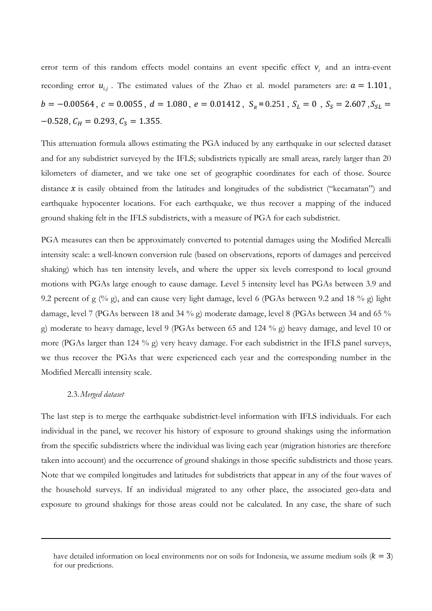error term of this random effects model contains an event specific effect  $v_i$  and an intra-event recording error  $u_{i,j}$ . The estimated values of the Zhao et al. model parameters are:  $a = 1.101$ ,  $b = -0.00564$ ,  $c = 0.0055$ ,  $d = 1.080$ ,  $e = 0.01412$ ,  $S_R = 0.251$ ,  $S_L = 0$ ,  $S_S = 2.607$ ,  $S_{SL} =$  $-0.528$ ,  $C_H = 0.293$ ,  $C_3 = 1.355$ .

This attenuation formula allows estimating the PGA induced by any earthquake in our selected dataset and for any subdistrict surveyed by the IFLS; subdistricts typically are small areas, rarely larger than 20 kilometers of diameter, and we take one set of geographic coordinates for each of those. Source distance  $x$  is easily obtained from the latitudes and longitudes of the subdistrict ("kecamatan") and earthquake hypocenter locations. For each earthquake, we thus recover a mapping of the induced ground shaking felt in the IFLS subdistricts, with a measure of PGA for each subdistrict.

PGA measures can then be approximately converted to potential damages using the Modified Mercalli intensity scale: a well-known conversion rule (based on observations, reports of damages and perceived shaking) which has ten intensity levels, and where the upper six levels correspond to local ground motions with PGAs large enough to cause damage. Level 5 intensity level has PGAs between 3.9 and 9.2 percent of g (% g), and can cause very light damage, level 6 (PGAs between 9.2 and 18 % g) light damage, level 7 (PGAs between 18 and 34 % g) moderate damage, level 8 (PGAs between 34 and 65 % g) moderate to heavy damage, level 9 (PGAs between 65 and 124 % g) heavy damage, and level 10 or more (PGAs larger than 124 % g) very heavy damage. For each subdistrict in the IFLS panel surveys, we thus recover the PGAs that were experienced each year and the corresponding number in the Modified Mercalli intensity scale.

#### 2.3.*Merged dataset*

l

The last step is to merge the earthquake subdistrict-level information with IFLS individuals. For each individual in the panel, we recover his history of exposure to ground shakings using the information from the specific subdistricts where the individual was living each year (migration histories are therefore taken into account) and the occurrence of ground shakings in those specific subdistricts and those years. Note that we compiled longitudes and latitudes for subdistricts that appear in any of the four waves of the household surveys. If an individual migrated to any other place, the associated geo-data and exposure to ground shakings for those areas could not be calculated. In any case, the share of such

have detailed information on local environments nor on soils for Indonesia, we assume medium soils  $(k = 3)$ for our predictions.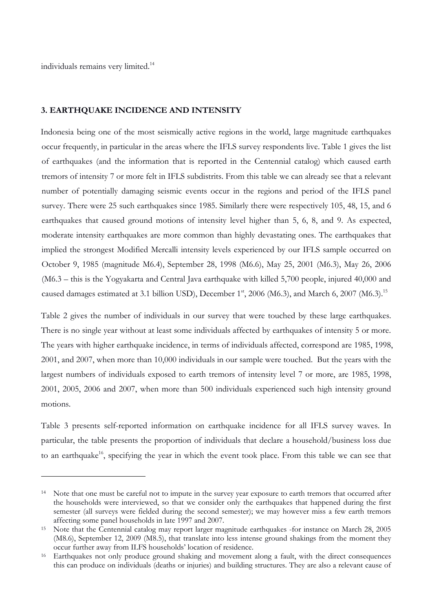individuals remains very limited.<sup>14</sup>

 $\overline{a}$ 

#### **3. EARTHQUAKE INCIDENCE AND INTENSITY**

Indonesia being one of the most seismically active regions in the world, large magnitude earthquakes occur frequently, in particular in the areas where the IFLS survey respondents live. Table 1 gives the list of earthquakes (and the information that is reported in the Centennial catalog) which caused earth tremors of intensity 7 or more felt in IFLS subdistrits. From this table we can already see that a relevant number of potentially damaging seismic events occur in the regions and period of the IFLS panel survey. There were 25 such earthquakes since 1985. Similarly there were respectively 105, 48, 15, and 6 earthquakes that caused ground motions of intensity level higher than 5, 6, 8, and 9. As expected, moderate intensity earthquakes are more common than highly devastating ones. The earthquakes that implied the strongest Modified Mercalli intensity levels experienced by our IFLS sample occurred on October 9, 1985 (magnitude M6.4), September 28, 1998 (M6.6), May 25, 2001 (M6.3), May 26, 2006 (M6.3 – this is the Yogyakarta and Central Java earthquake with killed 5,700 people, injured 40,000 and caused damages estimated at 3.1 billion USD), December 1<sup>st</sup>, 2006 (M6.3), and March 6, 2007 (M6.3).<sup>15</sup>

Table 2 gives the number of individuals in our survey that were touched by these large earthquakes. There is no single year without at least some individuals affected by earthquakes of intensity 5 or more. The years with higher earthquake incidence, in terms of individuals affected, correspond are 1985, 1998, 2001, and 2007, when more than 10,000 individuals in our sample were touched. But the years with the largest numbers of individuals exposed to earth tremors of intensity level 7 or more, are 1985, 1998, 2001, 2005, 2006 and 2007, when more than 500 individuals experienced such high intensity ground motions.

Table 3 presents self-reported information on earthquake incidence for all IFLS survey waves. In particular, the table presents the proportion of individuals that declare a household/business loss due to an earthquake<sup>16</sup>, specifying the year in which the event took place. From this table we can see that

<sup>&</sup>lt;sup>14</sup> Note that one must be careful not to impute in the survey year exposure to earth tremors that occurred after the households were interviewed, so that we consider only the earthquakes that happened during the first semester (all surveys were fielded during the second semester); we may however miss a few earth tremors affecting some panel households in late 1997 and 2007.

<sup>&</sup>lt;sup>15</sup> Note that the Centennial catalog may report larger magnitude earthquakes -for instance on March 28, 2005 (M8.6), September 12, 2009 (M8.5), that translate into less intense ground shakings from the moment they occur further away from ILFS households' location of residence.

<sup>&</sup>lt;sup>16</sup> Earthquakes not only produce ground shaking and movement along a fault, with the direct consequences this can produce on individuals (deaths or injuries) and building structures. They are also a relevant cause of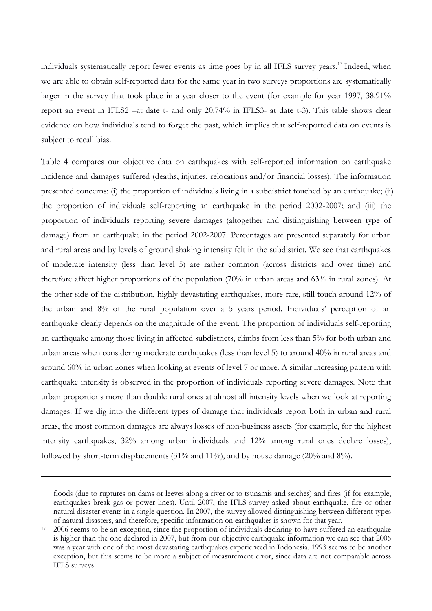individuals systematically report fewer events as time goes by in all IFLS survey years.<sup>17</sup> Indeed, when we are able to obtain self-reported data for the same year in two surveys proportions are systematically larger in the survey that took place in a year closer to the event (for example for year 1997, 38.91%) report an event in IFLS2 –at date t- and only 20.74% in IFLS3- at date t-3). This table shows clear evidence on how individuals tend to forget the past, which implies that self-reported data on events is subject to recall bias.

Table 4 compares our objective data on earthquakes with self-reported information on earthquake incidence and damages suffered (deaths, injuries, relocations and/or financial losses). The information presented concerns: (i) the proportion of individuals living in a subdistrict touched by an earthquake; (ii) the proportion of individuals self-reporting an earthquake in the period 2002-2007; and (iii) the proportion of individuals reporting severe damages (altogether and distinguishing between type of damage) from an earthquake in the period 2002-2007. Percentages are presented separately for urban and rural areas and by levels of ground shaking intensity felt in the subdistrict. We see that earthquakes of moderate intensity (less than level 5) are rather common (across districts and over time) and therefore affect higher proportions of the population (70% in urban areas and 63% in rural zones). At the other side of the distribution, highly devastating earthquakes, more rare, still touch around 12% of the urban and 8% of the rural population over a 5 years period. Individuals' perception of an earthquake clearly depends on the magnitude of the event. The proportion of individuals self-reporting an earthquake among those living in affected subdistricts, climbs from less than 5% for both urban and urban areas when considering moderate earthquakes (less than level 5) to around 40% in rural areas and around 60% in urban zones when looking at events of level 7 or more. A similar increasing pattern with earthquake intensity is observed in the proportion of individuals reporting severe damages. Note that urban proportions more than double rural ones at almost all intensity levels when we look at reporting damages. If we dig into the different types of damage that individuals report both in urban and rural areas, the most common damages are always losses of non-business assets (for example, for the highest intensity earthquakes, 32% among urban individuals and 12% among rural ones declare losses), followed by short-term displacements (31% and 11%), and by house damage (20% and 8%).

 $\overline{a}$ 

floods (due to ruptures on dams or leeves along a river or to tsunamis and seiches) and fires (if for example, earthquakes break gas or power lines). Until 2007, the IFLS survey asked about earthquake, fire or other natural disaster events in a single question. In 2007, the survey allowed distinguishing between different types of natural disasters, and therefore, specific information on earthquakes is shown for that year.

<sup>&</sup>lt;sup>17</sup> 2006 seems to be an exception, since the proportion of individuals declaring to have suffered an earthquake is higher than the one declared in 2007, but from our objective earthquake information we can see that 2006 was a year with one of the most devastating earthquakes experienced in Indonesia. 1993 seems to be another exception, but this seems to be more a subject of measurement error, since data are not comparable across IFLS surveys.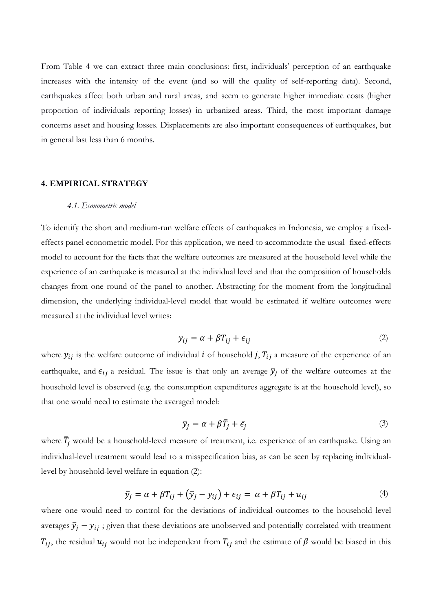From Table 4 we can extract three main conclusions: first, individuals' perception of an earthquake increases with the intensity of the event (and so will the quality of self-reporting data). Second, earthquakes affect both urban and rural areas, and seem to generate higher immediate costs (higher proportion of individuals reporting losses) in urbanized areas. Third, the most important damage concerns asset and housing losses. Displacements are also important consequences of earthquakes, but in general last less than 6 months.

#### **4. EMPIRICAL STRATEGY**

#### *4.1. Econometric model*

To identify the short and medium-run welfare effects of earthquakes in Indonesia, we employ a fixedeffects panel econometric model. For this application, we need to accommodate the usual fixed-effects model to account for the facts that the welfare outcomes are measured at the household level while the experience of an earthquake is measured at the individual level and that the composition of households changes from one round of the panel to another. Abstracting for the moment from the longitudinal dimension, the underlying individual-level model that would be estimated if welfare outcomes were measured at the individual level writes:

$$
y_{ij} = \alpha + \beta T_{ij} + \epsilon_{ij}
$$
 (2)

where  $y_{ij}$  is the welfare outcome of individual i of household j,  $T_{ij}$  a measure of the experience of an earthquake, and  $\epsilon_{ij}$  a residual. The issue is that only an average  $\bar{y}_j$  of the welfare outcomes at the household level is observed (e.g. the consumption expenditures aggregate is at the household level), so that one would need to estimate the averaged model:

$$
\bar{y}_j = \alpha + \beta \bar{T}_j + \bar{\epsilon}_j \tag{3}
$$

where  $\bar{T}_j$  would be a household-level measure of treatment, i.e. experience of an earthquake. Using an individual-level treatment would lead to a misspecification bias, as can be seen by replacing individuallevel by household-level welfare in equation (2):

$$
\bar{y}_j = \alpha + \beta T_{ij} + (\bar{y}_j - y_{ij}) + \epsilon_{ij} = \alpha + \beta T_{ij} + u_{ij}
$$
\n(4)

where one would need to control for the deviations of individual outcomes to the household level averages  $\bar{y}_j - y_{ij}$ ; given that these deviations are unobserved and potentially correlated with treatment  $T_{ij}$ , the residual  $u_{ij}$  would not be independent from  $T_{ij}$  and the estimate of  $\beta$  would be biased in this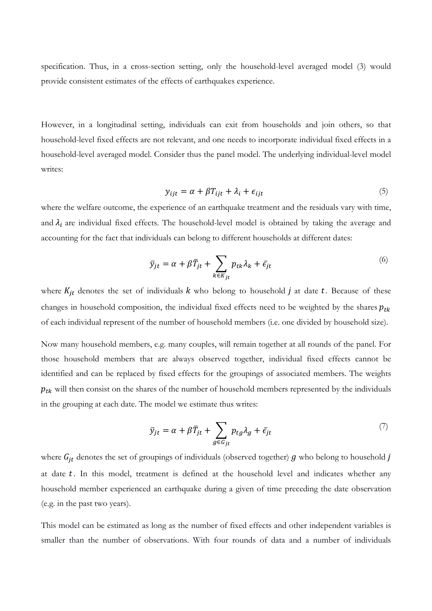specification. Thus, in a cross-section setting, only the household-level averaged model (3) would provide consistent estimates of the effects of earthquakes experience.

However, in a longitudinal setting, individuals can exit from households and join others, so that household-level fixed effects are not relevant, and one needs to incorporate individual fixed effects in a household-level averaged model. Consider thus the panel model. The underlying individual-level model writes:

$$
y_{ijt} = \alpha + \beta T_{ijt} + \lambda_i + \epsilon_{ijt}
$$
\n<sup>(5)</sup>

where the welfare outcome, the experience of an earthquake treatment and the residuals vary with time, and  $\lambda_i$  are individual fixed effects. The household-level model is obtained by taking the average and accounting for the fact that individuals can belong to different households at different dates:

$$
\bar{y}_{jt} = \alpha + \beta \bar{T}_{jt} + \sum_{k \in K_{jt}} p_{tk} \lambda_k + \bar{\epsilon}_{jt}
$$
\n<sup>(6)</sup>

where  $K_{jt}$  denotes the set of individuals  $k$  who belong to household  $j$  at date  $t$ . Because of these changes in household composition, the individual fixed effects need to be weighted by the shares  $p_{tk}$ of each individual represent of the number of household members (i.e. one divided by household size).

Now many household members, e.g. many couples, will remain together at all rounds of the panel. For those household members that are always observed together, individual fixed effects cannot be identified and can be replaced by fixed effects for the groupings of associated members. The weights  $p_{tk}$  will then consist on the shares of the number of household members represented by the individuals in the grouping at each date. The model we estimate thus writes:

$$
\bar{y}_{jt} = \alpha + \beta \bar{T}_{jt} + \sum_{g \in G_{jt}} p_{tg} \lambda_g + \bar{\epsilon}_{jt}
$$
\n<sup>(7)</sup>

where  $G_{it}$  denotes the set of groupings of individuals (observed together)  $g$  who belong to household  $j$ at date  $t$ . In this model, treatment is defined at the household level and indicates whether any household member experienced an earthquake during a given of time preceding the date observation (e.g. in the past two years).

This model can be estimated as long as the number of fixed effects and other independent variables is smaller than the number of observations. With four rounds of data and a number of individuals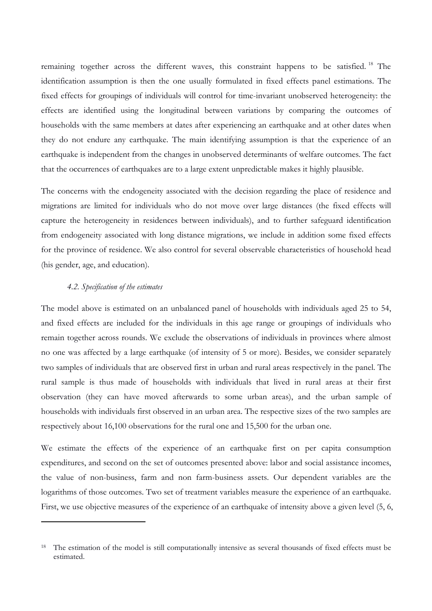remaining together across the different waves, this constraint happens to be satisfied.<sup>18</sup> The identification assumption is then the one usually formulated in fixed effects panel estimations. The fixed effects for groupings of individuals will control for time-invariant unobserved heterogeneity: the effects are identified using the longitudinal between variations by comparing the outcomes of households with the same members at dates after experiencing an earthquake and at other dates when they do not endure any earthquake. The main identifying assumption is that the experience of an earthquake is independent from the changes in unobserved determinants of welfare outcomes. The fact that the occurrences of earthquakes are to a large extent unpredictable makes it highly plausible.

The concerns with the endogeneity associated with the decision regarding the place of residence and migrations are limited for individuals who do not move over large distances (the fixed effects will capture the heterogeneity in residences between individuals), and to further safeguard identification from endogeneity associated with long distance migrations, we include in addition some fixed effects for the province of residence. We also control for several observable characteristics of household head (his gender, age, and education).

### *4.2. Specification of the estimates*

 $\overline{a}$ 

The model above is estimated on an unbalanced panel of households with individuals aged 25 to 54, and fixed effects are included for the individuals in this age range or groupings of individuals who remain together across rounds. We exclude the observations of individuals in provinces where almost no one was affected by a large earthquake (of intensity of 5 or more). Besides, we consider separately two samples of individuals that are observed first in urban and rural areas respectively in the panel. The rural sample is thus made of households with individuals that lived in rural areas at their first observation (they can have moved afterwards to some urban areas), and the urban sample of households with individuals first observed in an urban area. The respective sizes of the two samples are respectively about 16,100 observations for the rural one and 15,500 for the urban one.

We estimate the effects of the experience of an earthquake first on per capita consumption expenditures, and second on the set of outcomes presented above: labor and social assistance incomes, the value of non-business, farm and non farm-business assets. Our dependent variables are the logarithms of those outcomes. Two set of treatment variables measure the experience of an earthquake. First, we use objective measures of the experience of an earthquake of intensity above a given level (5, 6,

<sup>&</sup>lt;sup>18</sup> The estimation of the model is still computationally intensive as several thousands of fixed effects must be estimated.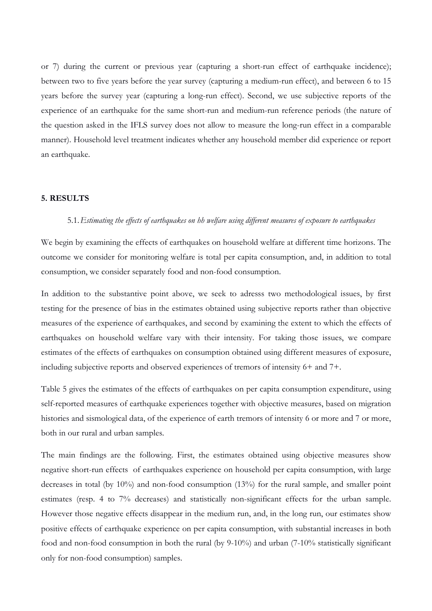or 7) during the current or previous year (capturing a short-run effect of earthquake incidence); between two to five years before the year survey (capturing a medium-run effect), and between 6 to 15 years before the survey year (capturing a long-run effect). Second, we use subjective reports of the experience of an earthquake for the same short-run and medium-run reference periods (the nature of the question asked in the IFLS survey does not allow to measure the long-run effect in a comparable manner). Household level treatment indicates whether any household member did experience or report an earthquake.

#### **5. RESULTS**

#### 5.1.*Estimating the effects of earthquakes on hh welfare using different measures of exposure to earthquakes*

We begin by examining the effects of earthquakes on household welfare at different time horizons. The outcome we consider for monitoring welfare is total per capita consumption, and, in addition to total consumption, we consider separately food and non-food consumption.

In addition to the substantive point above, we seek to adresss two methodological issues, by first testing for the presence of bias in the estimates obtained using subjective reports rather than objective measures of the experience of earthquakes, and second by examining the extent to which the effects of earthquakes on household welfare vary with their intensity. For taking those issues, we compare estimates of the effects of earthquakes on consumption obtained using different measures of exposure, including subjective reports and observed experiences of tremors of intensity 6+ and 7+.

Table 5 gives the estimates of the effects of earthquakes on per capita consumption expenditure, using self-reported measures of earthquake experiences together with objective measures, based on migration histories and sismological data, of the experience of earth tremors of intensity 6 or more and 7 or more, both in our rural and urban samples.

The main findings are the following. First, the estimates obtained using objective measures show negative short-run effects of earthquakes experience on household per capita consumption, with large decreases in total (by 10%) and non-food consumption (13%) for the rural sample, and smaller point estimates (resp. 4 to 7% decreases) and statistically non-significant effects for the urban sample. However those negative effects disappear in the medium run, and, in the long run, our estimates show positive effects of earthquake experience on per capita consumption, with substantial increases in both food and non-food consumption in both the rural (by 9-10%) and urban (7-10% statistically significant only for non-food consumption) samples.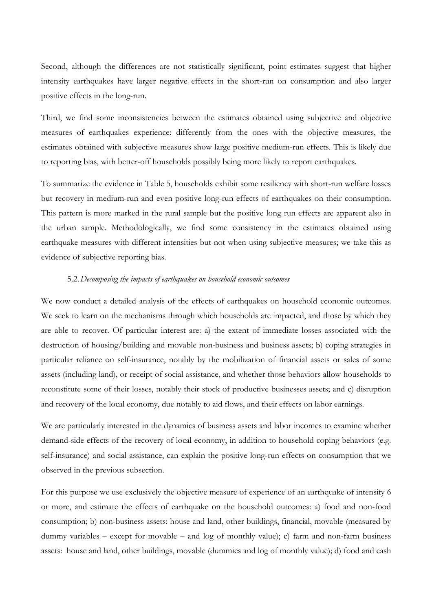Second, although the differences are not statistically significant, point estimates suggest that higher intensity earthquakes have larger negative effects in the short-run on consumption and also larger positive effects in the long-run.

Third, we find some inconsistencies between the estimates obtained using subjective and objective measures of earthquakes experience: differently from the ones with the objective measures, the estimates obtained with subjective measures show large positive medium-run effects. This is likely due to reporting bias, with better-off households possibly being more likely to report earthquakes.

To summarize the evidence in Table 5, households exhibit some resiliency with short-run welfare losses but recovery in medium-run and even positive long-run effects of earthquakes on their consumption. This pattern is more marked in the rural sample but the positive long run effects are apparent also in the urban sample. Methodologically, we find some consistency in the estimates obtained using earthquake measures with different intensities but not when using subjective measures; we take this as evidence of subjective reporting bias.

#### 5.2.*Decomposing the impacts of earthquakes on household economic outcomes*

We now conduct a detailed analysis of the effects of earthquakes on household economic outcomes. We seek to learn on the mechanisms through which households are impacted, and those by which they are able to recover. Of particular interest are: a) the extent of immediate losses associated with the destruction of housing/building and movable non-business and business assets; b) coping strategies in particular reliance on self-insurance, notably by the mobilization of financial assets or sales of some assets (including land), or receipt of social assistance, and whether those behaviors allow households to reconstitute some of their losses, notably their stock of productive businesses assets; and c) disruption and recovery of the local economy, due notably to aid flows, and their effects on labor earnings.

We are particularly interested in the dynamics of business assets and labor incomes to examine whether demand-side effects of the recovery of local economy, in addition to household coping behaviors (e.g. self-insurance) and social assistance, can explain the positive long-run effects on consumption that we observed in the previous subsection.

For this purpose we use exclusively the objective measure of experience of an earthquake of intensity 6 or more, and estimate the effects of earthquake on the household outcomes: a) food and non-food consumption; b) non-business assets: house and land, other buildings, financial, movable (measured by dummy variables – except for movable – and log of monthly value); c) farm and non-farm business assets: house and land, other buildings, movable (dummies and log of monthly value); d) food and cash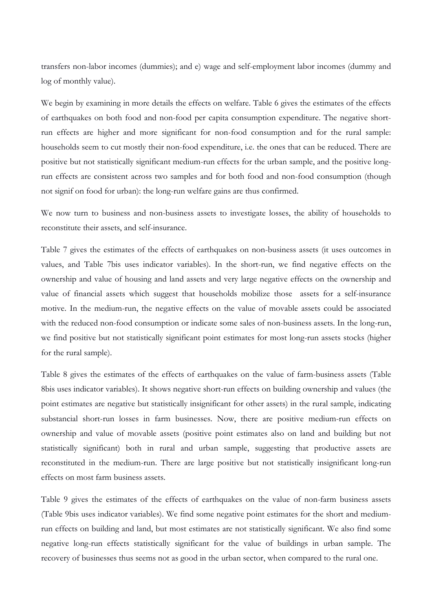transfers non-labor incomes (dummies); and e) wage and self-employment labor incomes (dummy and log of monthly value).

We begin by examining in more details the effects on welfare. Table 6 gives the estimates of the effects of earthquakes on both food and non-food per capita consumption expenditure. The negative shortrun effects are higher and more significant for non-food consumption and for the rural sample: households seem to cut mostly their non-food expenditure, i.e. the ones that can be reduced. There are positive but not statistically significant medium-run effects for the urban sample, and the positive longrun effects are consistent across two samples and for both food and non-food consumption (though not signif on food for urban): the long-run welfare gains are thus confirmed.

We now turn to business and non-business assets to investigate losses, the ability of households to reconstitute their assets, and self-insurance.

Table 7 gives the estimates of the effects of earthquakes on non-business assets (it uses outcomes in values, and Table 7bis uses indicator variables). In the short-run, we find negative effects on the ownership and value of housing and land assets and very large negative effects on the ownership and value of financial assets which suggest that households mobilize those assets for a self-insurance motive. In the medium-run, the negative effects on the value of movable assets could be associated with the reduced non-food consumption or indicate some sales of non-business assets. In the long-run, we find positive but not statistically significant point estimates for most long-run assets stocks (higher for the rural sample).

Table 8 gives the estimates of the effects of earthquakes on the value of farm-business assets (Table 8bis uses indicator variables). It shows negative short-run effects on building ownership and values (the point estimates are negative but statistically insignificant for other assets) in the rural sample, indicating substancial short-run losses in farm businesses. Now, there are positive medium-run effects on ownership and value of movable assets (positive point estimates also on land and building but not statistically significant) both in rural and urban sample, suggesting that productive assets are reconstituted in the medium-run. There are large positive but not statistically insignificant long-run effects on most farm business assets.

Table 9 gives the estimates of the effects of earthquakes on the value of non-farm business assets (Table 9bis uses indicator variables). We find some negative point estimates for the short and mediumrun effects on building and land, but most estimates are not statistically significant. We also find some negative long-run effects statistically significant for the value of buildings in urban sample. The recovery of businesses thus seems not as good in the urban sector, when compared to the rural one.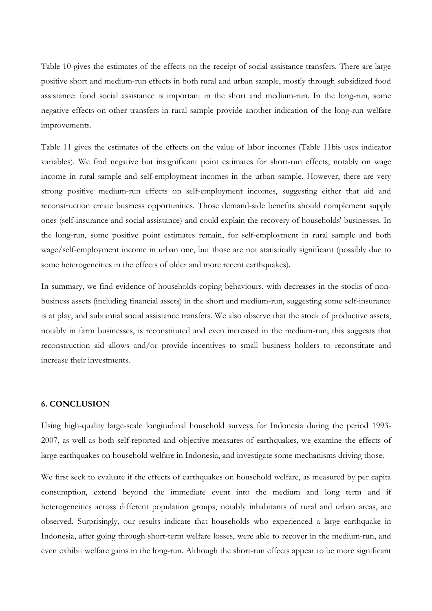Table 10 gives the estimates of the effects on the receipt of social assistance transfers. There are large positive short and medium-run effects in both rural and urban sample, mostly through subsidized food assistance: food social assistance is important in the short and medium-run. In the long-run, some negative effects on other transfers in rural sample provide another indication of the long-run welfare improvements.

Table 11 gives the estimates of the effects on the value of labor incomes (Table 11bis uses indicator variables). We find negative but insignificant point estimates for short-run effects, notably on wage income in rural sample and self-employment incomes in the urban sample. However, there are very strong positive medium-run effects on self-employment incomes, suggesting either that aid and reconstruction create business opportunities. Those demand-side benefits should complement supply ones (self-insurance and social assistance) and could explain the recovery of households' businesses. In the long-run, some positive point estimates remain, for self-employment in rural sample and both wage/self-employment income in urban one, but those are not statistically significant (possibly due to some heterogeneities in the effects of older and more recent earthquakes).

In summary, we find evidence of households coping behaviours, with decreases in the stocks of nonbusiness assets (including financial assets) in the short and medium-run, suggesting some self-insurance is at play, and subtantial social assistance transfers. We also observe that the stock of productive assets, notably in farm businesses, is reconstituted and even increased in the medium-run; this suggests that reconstruction aid allows and/or provide incentives to small business holders to reconstitute and increase their investments.

## **6. CONCLUSION**

Using high-quality large-scale longitudinal household surveys for Indonesia during the period 1993- 2007, as well as both self-reported and objective measures of earthquakes, we examine the effects of large earthquakes on household welfare in Indonesia, and investigate some mechanisms driving those.

We first seek to evaluate if the effects of earthquakes on household welfare, as measured by per capita consumption, extend beyond the immediate event into the medium and long term and if heterogeneities across different population groups, notably inhabitants of rural and urban areas, are observed. Surprisingly, our results indicate that households who experienced a large earthquake in Indonesia, after going through short-term welfare losses, were able to recover in the medium-run, and even exhibit welfare gains in the long-run. Although the short-run effects appear to be more significant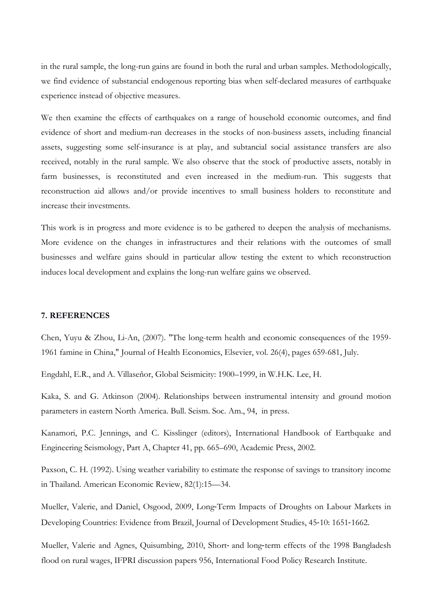in the rural sample, the long-run gains are found in both the rural and urban samples. Methodologically, we find evidence of substancial endogenous reporting bias when self-declared measures of earthquake experience instead of objective measures.

We then examine the effects of earthquakes on a range of household economic outcomes, and find evidence of short and medium-run decreases in the stocks of non-business assets, including financial assets, suggesting some self-insurance is at play, and subtancial social assistance transfers are also received, notably in the rural sample. We also observe that the stock of productive assets, notably in farm businesses, is reconstituted and even increased in the medium-run. This suggests that reconstruction aid allows and/or provide incentives to small business holders to reconstitute and increase their investments.

This work is in progress and more evidence is to be gathered to deepen the analysis of mechanisms. More evidence on the changes in infrastructures and their relations with the outcomes of small businesses and welfare gains should in particular allow testing the extent to which reconstruction induces local development and explains the long-run welfare gains we observed.

#### **7. REFERENCES**

Chen, Yuyu & Zhou, Li-An, (2007). "The long-term health and economic consequences of the 1959- 1961 famine in China," Journal of Health Economics, Elsevier, vol. 26(4), pages 659-681, July.

Engdahl, E.R., and A. Villaseñor, Global Seismicity: 1900–1999, in W.H.K. Lee, H.

Kaka, S. and G. Atkinson (2004). Relationships between instrumental intensity and ground motion parameters in eastern North America. Bull. Seism. Soc. Am., 94, in press.

Kanamori, P.C. Jennings, and C. Kisslinger (editors), International Handbook of Earthquake and Engineering Seismology, Part A, Chapter 41, pp. 665–690, Academic Press, 2002.

Paxson, C. H. (1992). Using weather variability to estimate the response of savings to transitory income in Thailand. American Economic Review, 82(1):15—34.

Mueller, Valerie, and Daniel, Osgood, 2009, Long‐Term Impacts of Droughts on Labour Markets in Developing Countries: Evidence from Brazil, Journal of Development Studies, 45‐10: 1651‐1662.

Mueller, Valerie and Agnes, Quisumbing, 2010, Short- and long-term effects of the 1998 Bangladesh flood on rural wages, IFPRI discussion papers 956, International Food Policy Research Institute.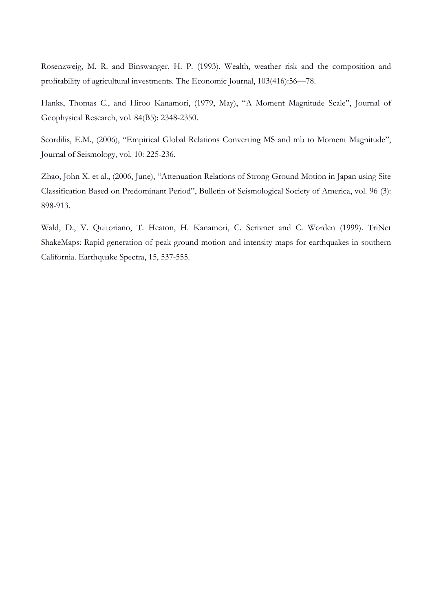Rosenzweig, M. R. and Binswanger, H. P. (1993). Wealth, weather risk and the composition and profitability of agricultural investments. The Economic Journal, 103(416):56—78.

Hanks, Thomas C., and Hiroo Kanamori, (1979, May), "A Moment Magnitude Scale", Journal of Geophysical Research, vol. 84(B5): 2348-2350.

Scordilis, E.M., (2006), "Empirical Global Relations Converting MS and mb to Moment Magnitude", Journal of Seismology, vol. 10: 225-236.

Zhao, John X. et al., (2006, June), "Attenuation Relations of Strong Ground Motion in Japan using Site Classification Based on Predominant Period", Bulletin of Seismological Society of America, vol. 96 (3): 898-913.

Wald, D., V. Quitoriano, T. Heaton, H. Kanamori, C. Scrivner and C. Worden (1999). TriNet ShakeMaps: Rapid generation of peak ground motion and intensity maps for earthquakes in southern California. Earthquake Spectra, 15, 537-555.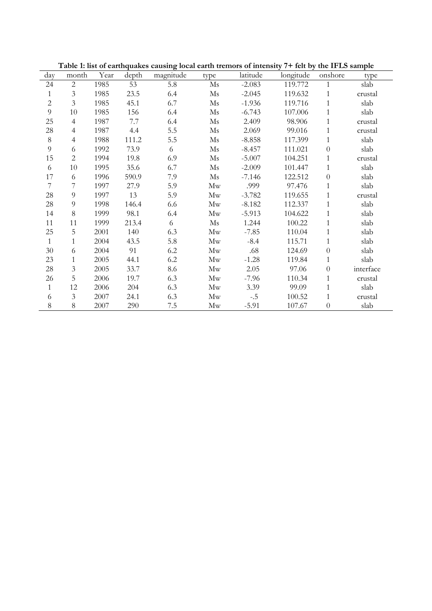| day                      | month          | Year | depth | magnitude | type                       | latitude | longitude | onshore          | type      |
|--------------------------|----------------|------|-------|-----------|----------------------------|----------|-----------|------------------|-----------|
| 24                       | $\overline{2}$ | 1985 | 53    | 5.8       | $\rm Ms$                   | $-2.083$ | 119.772   | $\mathbf{1}$     | slab      |
| $\mathbf{1}$             | 3              | 1985 | 23.5  | 6.4       | $\mathbf{M}\mathbf{s}$     | $-2.045$ | 119.632   | 1                | crustal   |
| $\overline{c}$           | $\overline{3}$ | 1985 | 45.1  | 6.7       | $\rm Ms$                   | $-1.936$ | 119.716   | $\mathbf{1}$     | slab      |
| 9                        | $10\,$         | 1985 | 156   | 6.4       | $\rm{Ms}$                  | $-6.743$ | 107.006   | $\mathbf{1}$     | slab      |
| 25                       | $\overline{4}$ | 1987 | 7.7   | 6.4       | $\rm Ms$                   | 2.409    | 98.906    | $\mathbf{1}$     | crustal   |
| 28                       | $\overline{4}$ | 1987 | 4.4   | 5.5       | $\rm{Ms}$                  | 2.069    | 99.016    | $\mathbf{1}$     | crustal   |
| $\,8\,$                  | $\overline{4}$ | 1988 | 111.2 | 5.5       | $\rm Ms$                   | $-8.858$ | 117.399   | $\mathbf{1}$     | slab      |
| $\overline{9}$           | 6              | 1992 | 73.9  | 6         | $\mathbf{M}\mathbf{s}$     | $-8.457$ | 111.021   | $\boldsymbol{0}$ | slab      |
| 15                       | $\overline{c}$ | 1994 | 19.8  | 6.9       | $\mathbf{M}\mathbf{s}$     | $-5.007$ | 104.251   | $\mathbf{1}$     | crustal   |
| 6                        | 10             | 1995 | 35.6  | 6.7       | $\rm{Ms}$                  | $-2.009$ | 101.447   | $\mathbf{1}$     | slab      |
| 17                       | 6              | 1996 | 590.9 | 7.9       | $\rm{Ms}$                  | $-7.146$ | 122.512   | $\theta$         | slab      |
| $\overline{\mathcal{I}}$ | 7              | 1997 | 27.9  | 5.9       | Mw                         | .999     | 97.476    | $\mathbf{1}$     | slab      |
| $28\,$                   | 9              | 1997 | 13    | 5.9       | Mw                         | $-3.782$ | 119.655   | $\mathbf{1}$     | crustal   |
| 28                       | 9              | 1998 | 146.4 | 6.6       | Mw                         | $-8.182$ | 112.337   | 1                | slab      |
| 14                       | 8              | 1999 | 98.1  | 6.4       | Mw                         | $-5.913$ | 104.622   | $\mathbf{1}$     | slab      |
| 11                       | 11             | 1999 | 213.4 | 6         | $\rm{Ms}$                  | 1.244    | 100.22    | $\mathbf{1}$     | slab      |
| 25                       | 5              | 2001 | 140   | 6.3       | Mw                         | $-7.85$  | 110.04    | $\mathbf{1}$     | slab      |
| $\mathbf{1}$             | $\mathbf{1}$   | 2004 | 43.5  | 5.8       | Mw                         | $-8.4$   | 115.71    | $\mathbf{1}$     | slab      |
| 30 <sup>°</sup>          | 6              | 2004 | 91    | 6.2       | Mw                         | .68      | 124.69    | $\boldsymbol{0}$ | slab      |
| 23                       | $\mathbf{1}$   | 2005 | 44.1  | 6.2       | $\mathop{\rm Mw}\nolimits$ | $-1.28$  | 119.84    | $\mathbf{1}$     | slab      |
| 28                       | 3              | 2005 | 33.7  | 8.6       | Mw                         | 2.05     | 97.06     | $\boldsymbol{0}$ | interface |
| 26                       | 5              | 2006 | 19.7  | 6.3       | Mw                         | $-7.96$  | 110.34    | 1                | crustal   |
| $\mathbf{1}$             | 12             | 2006 | 204   | 6.3       | Mw                         | 3.39     | 99.09     | $\mathbf{1}$     | slab      |
| 6                        | $\overline{3}$ | 2007 | 24.1  | 6.3       | Mw                         | $-.5$    | 100.52    | 1                | crustal   |
| $\,8\,$                  | 8              | 2007 | 290   | $7.5\,$   | Mw                         | $-5.91$  | 107.67    | $\overline{0}$   | slab      |

**Table 1: list of earthquakes causing local earth tremors of intensity 7+ felt by the IFLS sample**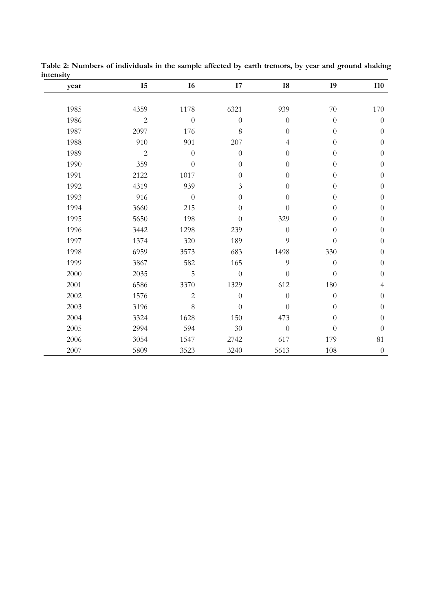| year | $I5$           | I6             | I7               | ${\bf I8}$     | I <sub>9</sub>   | <b>I10</b>       |
|------|----------------|----------------|------------------|----------------|------------------|------------------|
|      |                |                |                  |                |                  |                  |
| 1985 | 4359           | 1178           | 6321             | 939            | 70               | 170              |
| 1986 | $\sqrt{2}$     | $\overline{0}$ | $\theta$         | $\theta$       | $\overline{0}$   | $\boldsymbol{0}$ |
| 1987 | 2097           | 176            | 8                | $\theta$       | $\boldsymbol{0}$ | $\boldsymbol{0}$ |
| 1988 | 910            | 901            | 207              | $\overline{4}$ | $\overline{0}$   | $\boldsymbol{0}$ |
| 1989 | $\overline{c}$ | $\overline{0}$ | $\theta$         | $\Omega$       | $\overline{0}$   | $\boldsymbol{0}$ |
| 1990 | 359            | $\overline{0}$ | $\overline{0}$   | $\theta$       | $\overline{0}$   | $\boldsymbol{0}$ |
| 1991 | 2122           | 1017           | $\overline{0}$   | $\theta$       | $\overline{0}$   | $\boldsymbol{0}$ |
| 1992 | 4319           | 939            | 3                | $\theta$       | $\overline{0}$   | $\boldsymbol{0}$ |
| 1993 | 916            | $\overline{0}$ | $\overline{0}$   | $\theta$       | $\overline{0}$   | $\boldsymbol{0}$ |
| 1994 | 3660           | 215            | $\overline{0}$   | $\theta$       | $\overline{0}$   | $\overline{0}$   |
| 1995 | 5650           | 198            | $\overline{0}$   | 329            | $\overline{0}$   | $\overline{0}$   |
| 1996 | 3442           | 1298           | 239              | $\overline{0}$ | $\theta$         | $\overline{0}$   |
| 1997 | 1374           | 320            | 189              | 9              | $\overline{0}$   | $\boldsymbol{0}$ |
| 1998 | 6959           | 3573           | 683              | 1498           | 330              | $\boldsymbol{0}$ |
| 1999 | 3867           | 582            | 165              | 9              | $\boldsymbol{0}$ | $\boldsymbol{0}$ |
| 2000 | 2035           | 5              | $\overline{0}$   | $\theta$       | $\overline{0}$   | $\boldsymbol{0}$ |
| 2001 | 6586           | 3370           | 1329             | 612            | 180              | $\overline{4}$   |
| 2002 | 1576           | $\overline{c}$ | $\overline{0}$   | $\overline{0}$ | $\overline{0}$   | $\overline{0}$   |
| 2003 | 3196           | 8              | $\boldsymbol{0}$ | $\overline{0}$ | $\boldsymbol{0}$ | $\boldsymbol{0}$ |
| 2004 | 3324           | 1628           | 150              | 473            | $\overline{0}$   | $\overline{0}$   |
| 2005 | 2994           | 594            | $30\,$           | $\overline{0}$ | $\overline{0}$   | $\boldsymbol{0}$ |
| 2006 | 3054           | 1547           | 2742             | 617            | 179              | 81               |
| 2007 | 5809           | 3523           | 3240             | 5613           | 108              | $\boldsymbol{0}$ |

**Table 2: Numbers of individuals in the sample affected by earth tremors, by year and ground shaking intensity**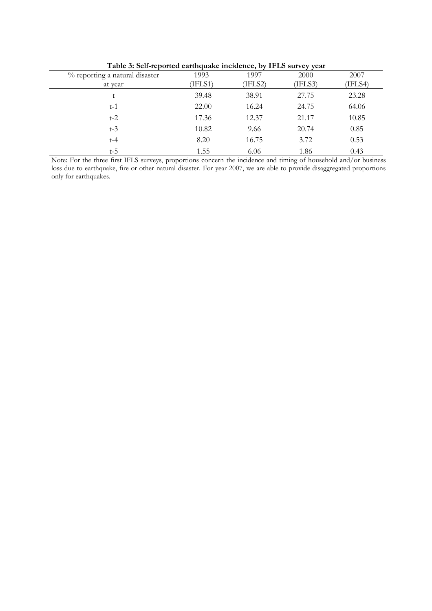|                                |         | . <u>.</u> | ັນ ມ    |         |
|--------------------------------|---------|------------|---------|---------|
| % reporting a natural disaster | 1993    | 1997       | 2000    | 2007    |
| at year                        | (IFLS1) | (IFLS2)    | (IFLS3) | (IFLS4) |
|                                | 39.48   | 38.91      | 27.75   | 23.28   |
| $t-1$                          | 22.00   | 16.24      | 24.75   | 64.06   |
| $t-2$                          | 17.36   | 12.37      | 21.17   | 10.85   |
| $t-3$                          | 10.82   | 9.66       | 20.74   | 0.85    |
| $t-4$                          | 8.20    | 16.75      | 3.72    | 0.53    |
| t-5                            | 1.55    | 6.06       | 1.86    | 0.43    |

**Table 3: Self-reported earthquake incidence, by IFLS survey year**

Note: For the three first IFLS surveys, proportions concern the incidence and timing of household and/or business loss due to earthquake, fire or other natural disaster. For year 2007, we are able to provide disaggregated proportions only for earthquakes.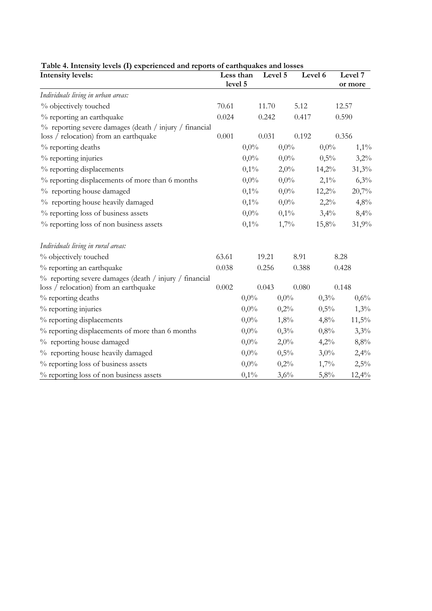| $\sim \sim \sim \sim$<br><b>Intensity levels:</b>                                               | Less than<br>level 5 |         | Level 5 |         | Level 6 | Level 7<br>or more |
|-------------------------------------------------------------------------------------------------|----------------------|---------|---------|---------|---------|--------------------|
| Individuals living in urban areas:                                                              |                      |         |         |         |         |                    |
| % objectively touched                                                                           | 70.61                |         | 11.70   | 5.12    |         | 12.57              |
| % reporting an earthquake                                                                       | 0.024                |         | 0.242   | 0.417   |         | 0.590              |
| % reporting severe damages (death / injury / financial<br>loss / relocation) from an earthquake | 0.001                |         | 0.031   | 0.192   |         | 0.356              |
| % reporting deaths                                                                              |                      | $0,0\%$ |         | $0,0\%$ | $0,0\%$ | $1,1\%$            |
| % reporting injuries                                                                            |                      | $0,0\%$ |         | $0,0\%$ | 0,5%    | 3,2%               |
| % reporting displacements                                                                       |                      | 0,1%    |         | 2,0%    | 14,2%   | 31,3%              |
| % reporting displacements of more than 6 months                                                 |                      | $0,0\%$ |         | $0,0\%$ | $2,1\%$ | 6,3%               |
| % reporting house damaged                                                                       |                      | $0,1\%$ |         | $0,0\%$ | 12,2%   | 20,7%              |
| % reporting house heavily damaged                                                               |                      | 0,1%    |         | $0,0\%$ | 2,2%    | 4,8%               |
| % reporting loss of business assets                                                             |                      | $0,0\%$ |         | $0,1\%$ | 3,4%    | 8,4%               |
| % reporting loss of non business assets                                                         |                      | 0,1%    |         | 1,7%    | 15,8%   | 31,9%              |
| Individuals living in rural areas:                                                              |                      |         |         |         |         |                    |
| % objectively touched                                                                           | 63.61                |         | 19.21   | 8.91    |         | 8.28               |
| % reporting an earthquake                                                                       | 0.038                |         | 0.256   | 0.388   |         | 0.428              |
| % reporting severe damages (death / injury / financial<br>loss / relocation) from an earthquake | 0.002                |         | 0.043   | 0.080   |         | 0.148              |
| % reporting deaths                                                                              |                      | $0,0\%$ |         | $0,0\%$ | 0,3%    | 0,6%               |
| % reporting injuries                                                                            |                      | $0,0\%$ |         | 0,2%    | 0,5%    | 1,3%               |
| % reporting displacements                                                                       |                      | $0,0\%$ |         | 1,8%    | 4,8%    | 11,5%              |
| % reporting displacements of more than 6 months                                                 |                      | $0,0\%$ |         | 0,3%    | 0,8%    | 3,3%               |
| % reporting house damaged                                                                       |                      | $0,0\%$ |         | 2,0%    | 4,2%    | 8,8%               |
| % reporting house heavily damaged                                                               |                      | $0,0\%$ |         | 0,5%    | $3,0\%$ | 2,4%               |
| % reporting loss of business assets                                                             |                      | $0,0\%$ |         | 0,2%    | 1,7%    | 2,5%               |
| % reporting loss of non business assets                                                         |                      | 0,1%    |         | 3,6%    | 5,8%    | 12,4%              |

# **Table 4. Intensity levels (I) experienced and reports of earthquakes and losses**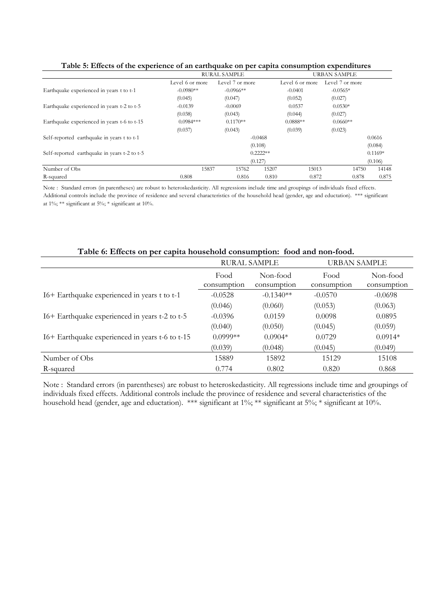|                                              |                 | <b>RURAL SAMPLE</b> |            |                 | <b>URBAN SAMPLE</b> |           |
|----------------------------------------------|-----------------|---------------------|------------|-----------------|---------------------|-----------|
|                                              | Level 6 or more | Level 7 or more     |            | Level 6 or more | Level 7 or more     |           |
| Earthquake experienced in years t to t-1     | $-0.0980**$     | $-0.0966**$         |            | $-0.0401$       | $-0.0565*$          |           |
|                                              | (0.045)         | (0.047)             |            | (0.052)         | (0.027)             |           |
| Earthquake experienced in years t-2 to t-5   | $-0.0139$       | $-0.0069$           |            | 0.0537          | $0.0530*$           |           |
|                                              | (0.038)         | (0.043)             |            | (0.044)         | (0.027)             |           |
| Earthquake experienced in years t-6 to t-15  | $0.0984***$     | $0.1170**$          |            | $0.0888**$      | $0.0660**$          |           |
|                                              | (0.037)         | (0.043)             |            | (0.039)         | (0.023)             |           |
| Self-reported earthquake in years t to t-1   |                 |                     | $-0.0468$  |                 |                     | 0.0616    |
|                                              |                 |                     | (0.108)    |                 |                     | (0.084)   |
| Self-reported earthquake in years t-2 to t-5 |                 |                     | $0.2222**$ |                 |                     | $0.1169*$ |
|                                              |                 |                     | (0.127)    |                 |                     | (0.106)   |
| Number of Obs                                | 15837           | 15762               | 15207      | 15013           | 14750               | 14148     |
| R-squared                                    | 0.808           | 0.816               | 0.810      | 0.872           | 0.878               | 0.875     |

**Table 5: Effects of the experience of an earthquake on per capita consumption expenditures** 

Note : Standard errors (in parentheses) are robust to heteroskedasticity. All regressions include time and groupings of individuals fixed effects. Additional controls include the province of residence and several characteristics of the household head (gender, age and eductation). \*\*\* significant at  $1\%$ ; \*\* significant at  $5\%$ ; \* significant at  $10\%$ .

| Table 6: Effects on per capita household consumption: Tood and non-food. |                     |                         |                     |                         |  |  |  |  |
|--------------------------------------------------------------------------|---------------------|-------------------------|---------------------|-------------------------|--|--|--|--|
|                                                                          | <b>RURAL SAMPLE</b> |                         | <b>URBAN SAMPLE</b> |                         |  |  |  |  |
|                                                                          | Food<br>consumption | Non-food<br>consumption | Food<br>consumption | Non-food<br>consumption |  |  |  |  |
| I6+ Earthquake experienced in years t to t-1                             | $-0.0528$           | $-0.1340**$             | $-0.0570$           | $-0.0698$               |  |  |  |  |
|                                                                          | (0.046)             | (0.060)                 | (0.053)             | (0.063)                 |  |  |  |  |
| I6+ Earthquake experienced in years t-2 to t-5                           | $-0.0396$           | 0.0159                  | 0.0098              | 0.0895                  |  |  |  |  |
|                                                                          | (0.040)             | (0.050)                 | (0.045)             | (0.059)                 |  |  |  |  |
| I6+ Earthquake experienced in years t-6 to t-15                          | $0.0999**$          | $0.0904*$               | 0.0729              | $0.0914*$               |  |  |  |  |
|                                                                          | (0.039)             | (0.048)                 | (0.045)             | (0.049)                 |  |  |  |  |
| Number of Obs                                                            | 15889               | 15892                   | 15129               | 15108                   |  |  |  |  |
| R-squared                                                                | 0.774               | 0.802                   | 0.820               | 0.868                   |  |  |  |  |

# **Table 6: Effects on per capita household consumption: food and non-food.**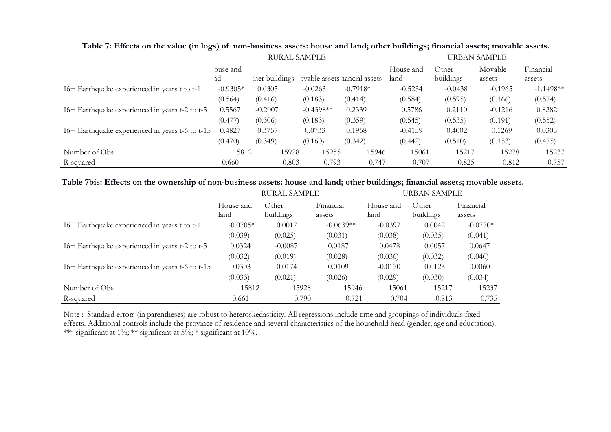|                                                 |            |                | <b>RURAL SAMPLE</b> |                              |           | <b>URBAN SAMPLE</b> |           |             |  |
|-------------------------------------------------|------------|----------------|---------------------|------------------------------|-----------|---------------------|-----------|-------------|--|
|                                                 | buse and   |                |                     |                              | House and | Other               | Movable   | Financial   |  |
|                                                 | ıd         | ther buildings |                     | ovable assets nancial assets | land      | buildings           | assets    | assets      |  |
| I6+ Earthquake experienced in years t to t-1    | $-0.9305*$ | 0.0305         | $-0.0263$           | $-0.7918*$                   | $-0.5234$ | $-0.0438$           | $-0.1965$ | $-1.1498**$ |  |
|                                                 | (0.564)    | (0.416)        | (0.183)             | (0.414)                      | (0.584)   | (0.595)             | (0.166)   | (0.574)     |  |
| I6+ Earthquake experienced in years t-2 to t-5  | 0.5567     | $-0.2007$      | $-0.4398**$         | 0.2339                       | 0.5786    | 0.2110              | $-0.1216$ | 0.8282      |  |
|                                                 | (0.477)    | (0.306)        | (0.183)             | (0.359)                      | (0.545)   | (0.535)             | (0.191)   | (0.552)     |  |
| I6+ Earthquake experienced in years t-6 to t-15 | 0.4827     | 0.3757         | 0.0733              | 0.1968                       | $-0.4159$ | 0.4002              | 0.1269    | 0.0305      |  |
|                                                 | (0.470)    | (0.349)        | (0.160)             | (0.342)                      | (0.442)   | (0.510)             | (0.153)   | (0.475)     |  |
| Number of Obs                                   | 15812      | 15928          | 15955               | 15946                        | 15061     | 15217               | 15278     | 15237       |  |
| R-squared                                       | 0.660      | 0.803          | 0.793               | 0.747                        | 0.707     | 0.825               | 0.812     | 0.757       |  |

**Table 7: Effects on the value (in logs) of non-business assets: house and land; other buildings; financial assets; movable assets.** 

| Table 7bis: Effects on the ownership of non-business assets: house and land; other buildings; financial assets; movable assets. |  |  |  |  |
|---------------------------------------------------------------------------------------------------------------------------------|--|--|--|--|
|---------------------------------------------------------------------------------------------------------------------------------|--|--|--|--|

|                                                 | <b>RURAL SAMPLE</b><br><b>URBAN SAMPLE</b> |                    |                     |                   |                    |                     |
|-------------------------------------------------|--------------------------------------------|--------------------|---------------------|-------------------|--------------------|---------------------|
|                                                 | House and<br>land                          | Other<br>buildings | Financial<br>assets | House and<br>land | Other<br>buildings | Financial<br>assets |
| I6+ Earthquake experienced in years t to t-1    | $-0.0705*$                                 | 0.0017             | $-0.0639**$         | $-0.0397$         | 0.0042             | $-0.0770*$          |
|                                                 | (0.039)                                    | (0.025)            | (0.031)             | (0.038)           | (0.035)            | (0.041)             |
| I6+ Earthquake experienced in years t-2 to t-5  | 0.0324                                     | $-0.0087$          | 0.0187              | 0.0478            | 0.0057             | 0.0647              |
|                                                 | (0.032)                                    | (0.019)            | (0.028)             | (0.036)           | (0.032)            | (0.040)             |
| I6+ Earthquake experienced in years t-6 to t-15 | 0.0303                                     | 0.0174             | 0.0109              | $-0.0170$         | 0.0123             | 0.0060              |
|                                                 | (0.033)                                    | (0.021)            | (0.026)             | (0.029)           | (0.030)            | (0.034)             |
| Number of Obs                                   | 15812                                      | 15928              | 15946               | 15061             | 15217              | 15237               |
| R-squared                                       | 0.661                                      | 0.790              | 0.721               | 0.704             | 0.813              | 0.735               |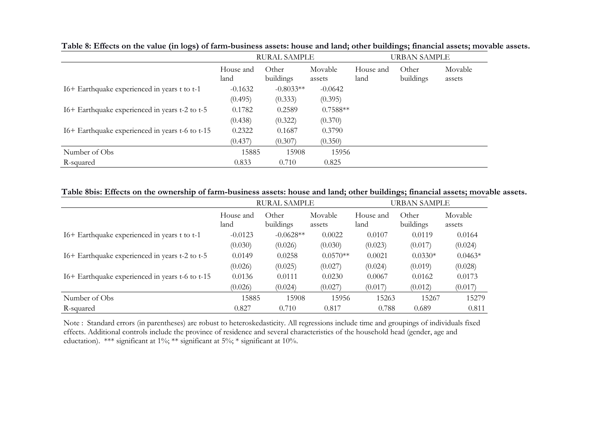|                                                 |                   | <b>RURAL SAMPLE</b> |                   |                   | <b>URBAN SAMPLE</b> |                   |
|-------------------------------------------------|-------------------|---------------------|-------------------|-------------------|---------------------|-------------------|
|                                                 | House and<br>land | Other<br>buildings  | Movable<br>assets | House and<br>land | Other<br>buildings  | Movable<br>assets |
| I6+ Earthquake experienced in years t to t-1    | $-0.1632$         | $-0.8033**$         | $-0.0642$         |                   |                     |                   |
|                                                 | (0.495)           | (0.333)             | (0.395)           |                   |                     |                   |
| I6+ Earthquake experienced in years t-2 to t-5  | 0.1782            | 0.2589              | $0.7588**$        |                   |                     |                   |
|                                                 | (0.438)           | (0.322)             | (0.370)           |                   |                     |                   |
| I6+ Earthquake experienced in years t-6 to t-15 | 0.2322            | 0.1687              | 0.3790            |                   |                     |                   |
|                                                 | (0.437)           | (0.307)             | (0.350)           |                   |                     |                   |
| Number of Obs                                   | 15885             | 15908               | 15956             |                   |                     |                   |
| R-squared                                       | 0.833             | 0.710               | 0.825             |                   |                     |                   |

**Table 8: Effects on the value (in logs) of farm-business assets: house and land; other buildings; financial assets; movable assets.** 

#### **Table 8bis: Effects on the ownership of farm-business assets: house and land; other buildings; financial assets; movable assets.**

|                                                 | <b>RURAL SAMPLE</b> |                    |                   |                   | <b>URBAN SAMPLE</b> |                   |
|-------------------------------------------------|---------------------|--------------------|-------------------|-------------------|---------------------|-------------------|
|                                                 | House and<br>land   | Other<br>buildings | Movable<br>assets | House and<br>land | Other<br>buildings  | Movable<br>assets |
| I6+ Earthquake experienced in years t to t-1    | $-0.0123$           | $-0.0628**$        | 0.0022            | 0.0107            | 0.0119              | 0.0164            |
|                                                 | (0.030)             | (0.026)            | (0.030)           | (0.023)           | (0.017)             | (0.024)           |
| I6+ Earthquake experienced in years t-2 to t-5  | 0.0149              | 0.0258             | $0.0570**$        | 0.0021            | $0.0330*$           | $0.0463*$         |
|                                                 | (0.026)             | (0.025)            | (0.027)           | (0.024)           | (0.019)             | (0.028)           |
| I6+ Earthquake experienced in years t-6 to t-15 | 0.0136              | 0.0111             | 0.0230            | 0.0067            | 0.0162              | 0.0173            |
|                                                 | (0.026)             | (0.024)            | (0.027)           | (0.017)           | (0.012)             | (0.017)           |
| Number of Obs                                   | 15885               | 15908              | 15956             | 15263             | 15267               | 15279             |
| R-squared                                       | 0.827               | 0.710              | 0.817             | 0.788             | 0.689               | 0.811             |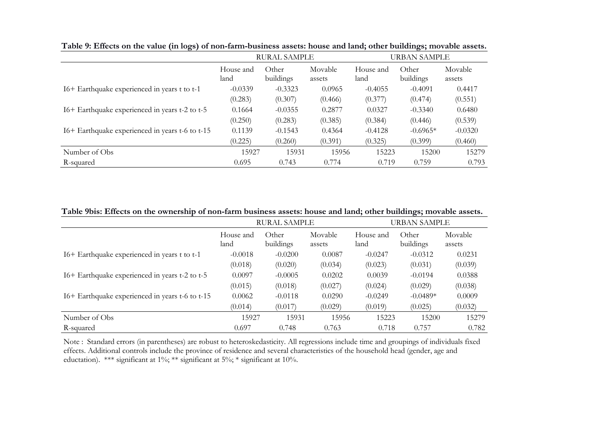|                                                 | <b>RURAL SAMPLE</b> |                    |                   |                   | URBAN SAMPLE       |                   |  |
|-------------------------------------------------|---------------------|--------------------|-------------------|-------------------|--------------------|-------------------|--|
|                                                 | House and<br>land   | Other<br>buildings | Movable<br>assets | House and<br>land | Other<br>buildings | Movable<br>assets |  |
| I6+ Earthquake experienced in years t to t-1    | $-0.0339$           | $-0.3323$          | 0.0965            | $-0.4055$         | $-0.4091$          | 0.4417            |  |
|                                                 | (0.283)             | (0.307)            | (0.466)           | (0.377)           | (0.474)            | (0.551)           |  |
| I6+ Earthquake experienced in years t-2 to t-5  | 0.1664              | $-0.0355$          | 0.2877            | 0.0327            | $-0.3340$          | 0.6480            |  |
|                                                 | (0.250)             | (0.283)            | (0.385)           | (0.384)           | (0.446)            | (0.539)           |  |
| I6+ Earthquake experienced in years t-6 to t-15 | 0.1139              | $-0.1543$          | 0.4364            | $-0.4128$         | $-0.6965*$         | $-0.0320$         |  |
|                                                 | (0.225)             | (0.260)            | (0.391)           | (0.325)           | (0.399)            | (0.460)           |  |
| Number of Obs                                   | 15927               | 15931              | 15956             | 15223             | 15200              | 15279             |  |
| R-squared                                       | 0.695               | 0.743              | 0.774             | 0.719             | 0.759              | 0.793             |  |

**Table 9: Effects on the value (in logs) of non-farm-business assets: house and land; other buildings; movable assets.** 

**Table 9bis: Effects on the ownership of non-farm business assets: house and land; other buildings; movable assets.** 

|                                                 |                   | RURAL SAMPLE       |                   | URBAN SAMPLE      |                    |                   |  |
|-------------------------------------------------|-------------------|--------------------|-------------------|-------------------|--------------------|-------------------|--|
|                                                 | House and<br>land | Other<br>buildings | Movable<br>assets | House and<br>land | Other<br>buildings | Movable<br>assets |  |
| I6+ Earthquake experienced in years t to t-1    | $-0.0018$         | $-0.0200$          | 0.0087            | $-0.0247$         | $-0.0312$          | 0.0231            |  |
|                                                 | (0.018)           | (0.020)            | (0.034)           | (0.023)           | (0.031)            | (0.039)           |  |
| I6+ Earthquake experienced in years t-2 to t-5  | 0.0097            | $-0.0005$          | 0.0202            | 0.0039            | $-0.0194$          | 0.0388            |  |
|                                                 | (0.015)           | (0.018)            | (0.027)           | (0.024)           | (0.029)            | (0.038)           |  |
| I6+ Earthquake experienced in years t-6 to t-15 | 0.0062            | $-0.0118$          | 0.0290            | $-0.0249$         | $-0.0489*$         | 0.0009            |  |
|                                                 | (0.014)           | (0.017)            | (0.029)           | (0.019)           | (0.025)            | (0.032)           |  |
| Number of Obs                                   | 15927             | 15931              | 15956             | 15223             | 15200              | 15279             |  |
| R-squared                                       | 0.697             | 0.748              | 0.763             | 0.718             | 0.757              | 0.782             |  |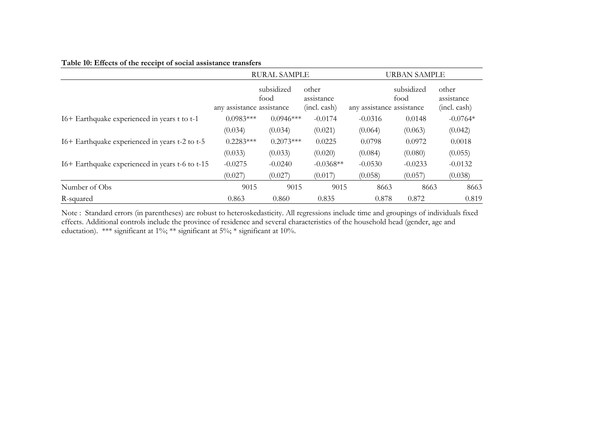# **Table 10: Effects of the receipt of social assistance transfers**

|                                                 |                           | <b>RURAL SAMPLE</b> |                                     | <b>URBAN SAMPLE</b>       |                    |                                     |  |
|-------------------------------------------------|---------------------------|---------------------|-------------------------------------|---------------------------|--------------------|-------------------------------------|--|
|                                                 | any assistance assistance | subsidized<br>food  | other<br>assistance<br>(incl. cash) | any assistance assistance | subsidized<br>food | other<br>assistance<br>(incl. cash) |  |
| I6+ Earthquake experienced in years t to t-1    | $0.0983***$               | $0.0946***$         | $-0.0174$                           | $-0.0316$                 | 0.0148             | $-0.0764*$                          |  |
|                                                 | (0.034)                   | (0.034)             | (0.021)                             | (0.064)                   | (0.063)            | (0.042)                             |  |
| I6+ Earthquake experienced in years t-2 to t-5  | $0.2283***$               | $0.2073***$         | 0.0225                              | 0.0798                    | 0.0972             | 0.0018                              |  |
|                                                 | (0.033)                   | (0.033)             | (0.020)                             | (0.084)                   | (0.080)            | (0.055)                             |  |
| I6+ Earthquake experienced in years t-6 to t-15 | $-0.0275$                 | $-0.0240$           | $-0.0368**$                         | $-0.0530$                 | $-0.0233$          | $-0.0132$                           |  |
|                                                 | (0.027)                   | (0.027)             | (0.017)                             | (0.058)                   | (0.057)            | (0.038)                             |  |
| Number of Obs                                   | 9015                      | 9015                | 9015                                | 8663                      | 8663               | 8663                                |  |
| R-squared                                       | 0.863                     | 0.860               | 0.835                               | 0.878                     | 0.872              | 0.819                               |  |